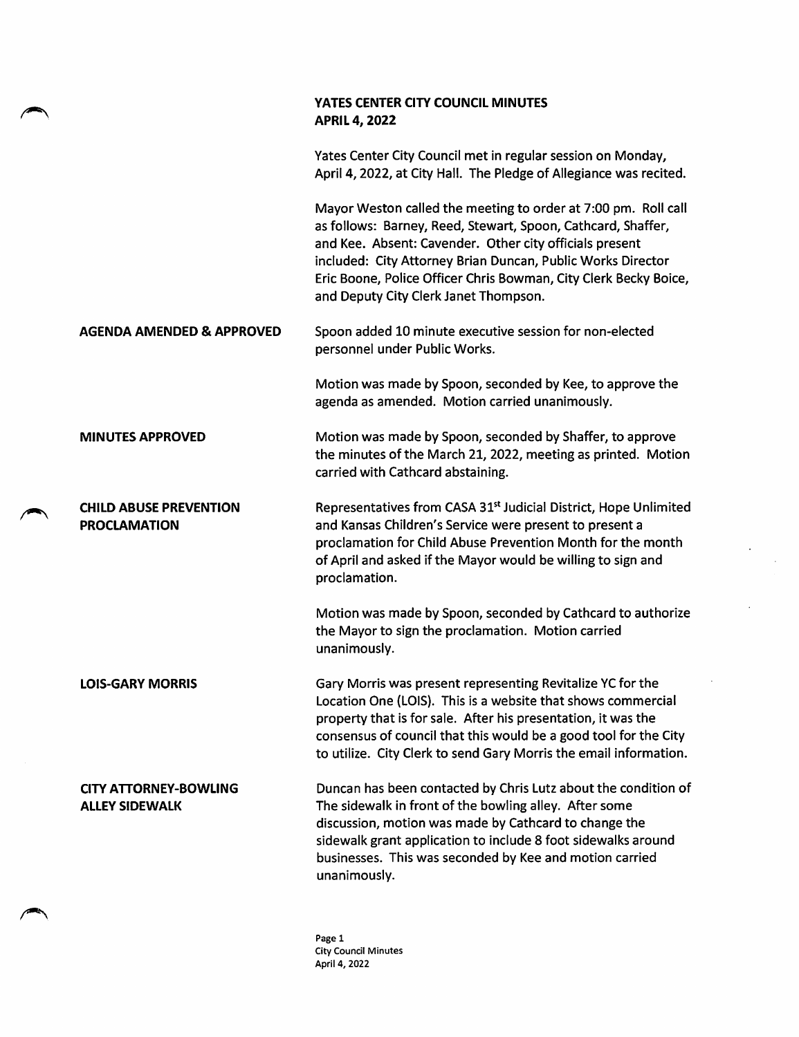|                                                       | YATES CENTER CITY COUNCIL MINUTES<br><b>APRIL 4, 2022</b>                                                                                                                                                                                                                                                                                                             |
|-------------------------------------------------------|-----------------------------------------------------------------------------------------------------------------------------------------------------------------------------------------------------------------------------------------------------------------------------------------------------------------------------------------------------------------------|
|                                                       | Yates Center City Council met in regular session on Monday,<br>April 4, 2022, at City Hall. The Pledge of Allegiance was recited.                                                                                                                                                                                                                                     |
|                                                       | Mayor Weston called the meeting to order at 7:00 pm. Roll call<br>as follows: Barney, Reed, Stewart, Spoon, Cathcard, Shaffer,<br>and Kee. Absent: Cavender. Other city officials present<br>included: City Attorney Brian Duncan, Public Works Director<br>Eric Boone, Police Officer Chris Bowman, City Clerk Becky Boice,<br>and Deputy City Clerk Janet Thompson. |
| <b>AGENDA AMENDED &amp; APPROVED</b>                  | Spoon added 10 minute executive session for non-elected<br>personnel under Public Works.                                                                                                                                                                                                                                                                              |
|                                                       | Motion was made by Spoon, seconded by Kee, to approve the<br>agenda as amended. Motion carried unanimously.                                                                                                                                                                                                                                                           |
| <b>MINUTES APPROVED</b>                               | Motion was made by Spoon, seconded by Shaffer, to approve<br>the minutes of the March 21, 2022, meeting as printed. Motion<br>carried with Cathcard abstaining.                                                                                                                                                                                                       |
| <b>CHILD ABUSE PREVENTION</b><br><b>PROCLAMATION</b>  | Representatives from CASA 31 <sup>st</sup> Judicial District, Hope Unlimited<br>and Kansas Children's Service were present to present a<br>proclamation for Child Abuse Prevention Month for the month<br>of April and asked if the Mayor would be willing to sign and<br>proclamation.                                                                               |
|                                                       | Motion was made by Spoon, seconded by Cathcard to authorize<br>the Mayor to sign the proclamation. Motion carried<br>unanimously.                                                                                                                                                                                                                                     |
| <b>LOIS-GARY MORRIS</b>                               | Gary Morris was present representing Revitalize YC for the<br>Location One (LOIS). This is a website that shows commercial<br>property that is for sale. After his presentation, it was the<br>consensus of council that this would be a good tool for the City<br>to utilize. City Clerk to send Gary Morris the email information.                                  |
| <b>CITY ATTORNEY-BOWLING</b><br><b>ALLEY SIDEWALK</b> | Duncan has been contacted by Chris Lutz about the condition of<br>The sidewalk in front of the bowling alley. After some<br>discussion, motion was made by Cathcard to change the<br>sidewalk grant application to include 8 foot sidewalks around<br>businesses. This was seconded by Kee and motion carried<br>unanimously.                                         |

 $\ddot{\phantom{a}}$ 

 $\overline{a}$ 

Page 1 City Council Minutes April 4, 2022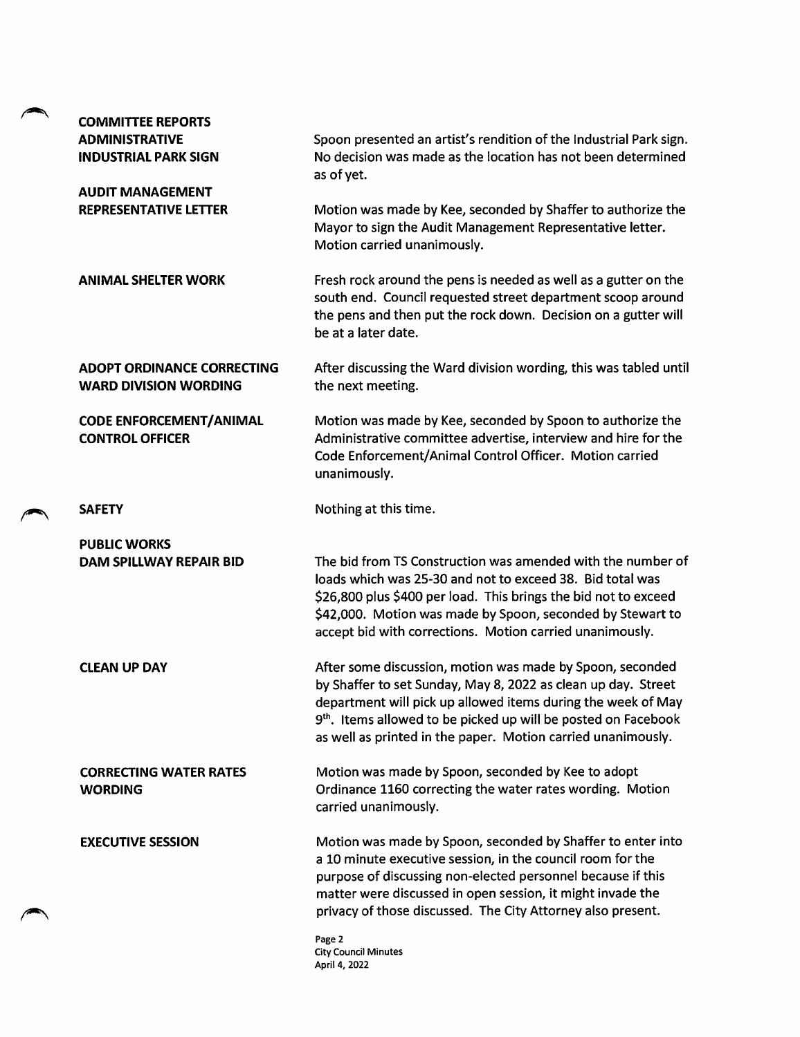| <b>COMMITTEE REPORTS</b>                                          |                                                                                                                                                                                                                                                                                                                                          |
|-------------------------------------------------------------------|------------------------------------------------------------------------------------------------------------------------------------------------------------------------------------------------------------------------------------------------------------------------------------------------------------------------------------------|
| <b>ADMINISTRATIVE</b><br><b>INDUSTRIAL PARK SIGN</b>              | Spoon presented an artist's rendition of the Industrial Park sign.<br>No decision was made as the location has not been determined<br>as of yet.                                                                                                                                                                                         |
| <b>AUDIT MANAGEMENT</b><br><b>REPRESENTATIVE LETTER</b>           | Motion was made by Kee, seconded by Shaffer to authorize the<br>Mayor to sign the Audit Management Representative letter.<br>Motion carried unanimously.                                                                                                                                                                                 |
| <b>ANIMAL SHELTER WORK</b>                                        | Fresh rock around the pens is needed as well as a gutter on the<br>south end. Council requested street department scoop around<br>the pens and then put the rock down. Decision on a gutter will<br>be at a later date.                                                                                                                  |
| <b>ADOPT ORDINANCE CORRECTING</b><br><b>WARD DIVISION WORDING</b> | After discussing the Ward division wording, this was tabled until<br>the next meeting.                                                                                                                                                                                                                                                   |
| <b>CODE ENFORCEMENT/ANIMAL</b><br><b>CONTROL OFFICER</b>          | Motion was made by Kee, seconded by Spoon to authorize the<br>Administrative committee advertise, interview and hire for the<br>Code Enforcement/Animal Control Officer. Motion carried<br>unanimously.                                                                                                                                  |
| <b>SAFETY</b>                                                     | Nothing at this time.                                                                                                                                                                                                                                                                                                                    |
| <b>PUBLIC WORKS</b>                                               |                                                                                                                                                                                                                                                                                                                                          |
| DAM SPILLWAY REPAIR BID                                           | The bid from TS Construction was amended with the number of<br>loads which was 25-30 and not to exceed 38. Bid total was<br>\$26,800 plus \$400 per load. This brings the bid not to exceed<br>\$42,000. Motion was made by Spoon, seconded by Stewart to<br>accept bid with corrections. Motion carried unanimously.                    |
| <b>CLEAN UP DAY</b>                                               | After some discussion, motion was made by Spoon, seconded<br>by Shaffer to set Sunday, May 8, 2022 as clean up day. Street<br>department will pick up allowed items during the week of May<br>9 <sup>th</sup> . Items allowed to be picked up will be posted on Facebook<br>as well as printed in the paper. Motion carried unanimously. |
| <b>CORRECTING WATER RATES</b><br><b>WORDING</b>                   | Motion was made by Spoon, seconded by Kee to adopt<br>Ordinance 1160 correcting the water rates wording. Motion<br>carried unanimously.                                                                                                                                                                                                  |
| <b>EXECUTIVE SESSION</b>                                          | Motion was made by Spoon, seconded by Shaffer to enter into<br>a 10 minute executive session, in the council room for the<br>purpose of discussing non-elected personnel because if this<br>matter were discussed in open session, it might invade the<br>privacy of those discussed. The City Attorney also present.                    |
|                                                                   | Page 2<br><b>City Council Minutes</b><br>April 4, 2022                                                                                                                                                                                                                                                                                   |